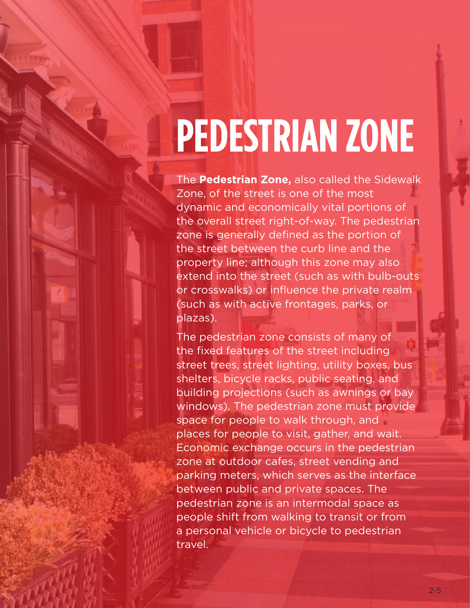## **PEDESTRIAN ZONE**

The **Pedestrian Zone,** also called the Sidewalk Zone, of the street is one of the most dynamic and economically vital portions of the overall street right-of-way. The pedestrian zone is generally defined as the portion of the street between the curb line and the property line; although this zone may also extend into the street (such as with bulb-outs or crosswalks) or influence the private realm (such as with active frontages, parks, or plazas).

The pedestrian zone consists of many of the fixed features of the street including street trees, street lighting, utility boxes, bus shelters, bicycle racks, public seating, and building projections (such as awnings or bay windows). The pedestrian zone must provide space for people to walk through, and places for people to visit, gather, and wait. Economic exchange occurs in the pedestrian zone at outdoor cafes, street vending and parking meters, which serves as the interface between public and private spaces. The pedestrian zone is an intermodal space as people shift from walking to transit or from a personal vehicle or bicycle to pedestrian travel.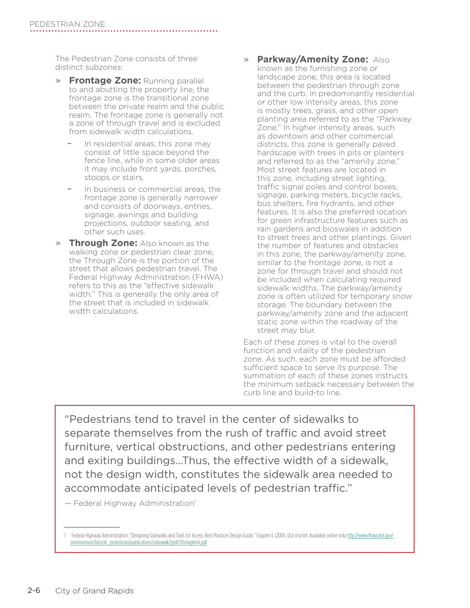The Pedestrian Zone consists of three distinct subzones:

- » **Frontage Zone:** Running parallel to and abutting the property line, the frontage zone is the transitional zone between the private realm and the public realm. The frontage zone is generally not a zone of through travel and is excluded from sidewalk width calculations.
	- In residential areas, this zone may consist of little space beyond the fence line, while in some older areas it may include front yards, porches, stoops or stairs.
	- In business or commercial areas, the frontage zone is generally narrower and consists of doorways, entries, signage, awnings and building projections, outdoor seating, and other such uses.
- » **Through Zone:** Also known as the walking zone or pedestrian clear zone, the Through Zone is the portion of the street that allows pedestrian travel. The Federal Highway Administration (FHWA) refers to this as the "effective sidewalk width." This is generally the only area of the street that is included in sidewalk width calculations.
- » **Parkway/Amenity Zone:** Also known as the furnishing zone or landscape zone, this area is located between the pedestrian through zone and the curb. In predominantly residential or other low intensity areas, this zone is mostly trees, grass, and other open planting area referred to as the "Parkway Zone." In higher intensity areas, such as downtown and other commercial districts, this zone is generally paved hardscape with trees in pits or planters and referred to as the "amenity zone." Most street features are located in this zone, including street lighting, traffic signal poles and control boxes, signage, parking meters, bicycle racks, bus shelters, fire hydrants, and other features. It is also the preferred location for green infrastructure features such as rain gardens and bioswales in addition to street trees and other plantings. Given the number of features and obstacles in this zone, the parkway/amenity zone, similar to the frontage zone, is not a zone for through travel and should not be included when calculating required sidewalk widths. The parkway/amenity zone is often utilized for temporary snow storage. The boundary between the parkway/amenity zone and the adjacent static zone within the roadway of the street may blur.

Each of these zones is vital to the overall function and vitality of the pedestrian zone. As such, each zone must be afforded sufficient space to serve its purpose. The summation of each of these zones instructs the minimum setback necessary between the curb line and build-to line.

"Pedestrians tend to travel in the center of sidewalks to separate themselves from the rush of traffic and avoid street furniture, vertical obstructions, and other pedestrians entering and exiting buildings…Thus, the effective width of a sidewalk, not the design width, constitutes the sidewalk area needed to accommodate anticipated levels of pedestrian traffic."

— Federal Highway Administration1

<sup>1</sup> Federal Highway Administration. "Designing Sidewalks and Trails for Access: Best Practices Design Guide." Chapter 4. (2001). Out of print. Available online only [http://www.fhwa.dot.gov/](http://www.fhwa.dot.gov/environment/bicycle_pedestrian/publications/sidewalk2/pdf/05chapter4.pdf) [environment/bicycle\\_pedestrian/publications/sidewalk2/pdf/05chapter4.pdf](http://www.fhwa.dot.gov/environment/bicycle_pedestrian/publications/sidewalk2/pdf/05chapter4.pdf)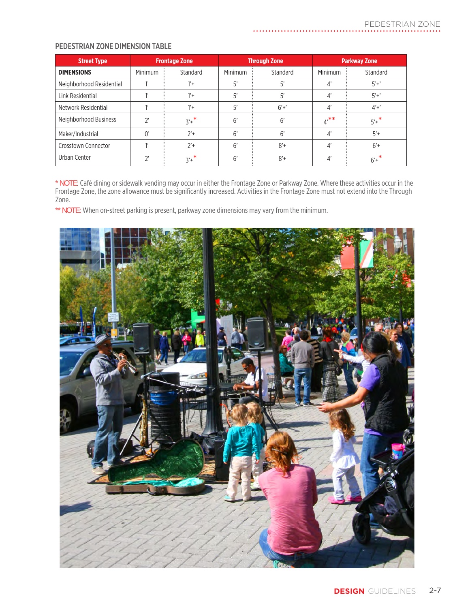## PEDESTRIAN ZONE DIMENSION TABLE

| <b>Street Type</b>       | <b>Frontage Zone</b> |            | <b>Through Zone</b> |          | <b>Parkway Zone</b> |                   |
|--------------------------|----------------------|------------|---------------------|----------|---------------------|-------------------|
| <b>DIMENSIONS</b>        | Minimum              | Standard   | Minimum             | Standard | Minimum             | Standard          |
| Neighborhood Residential |                      | $1'$ +     | 5'                  | 5'       | 4'                  | $5'+$             |
| Link Residential         |                      | $1'$ +     | 5'                  | 5'       | $\mathcal{A}'$      | $5'+$             |
| Network Residential      |                      | $1'+$      | 5'                  | $6'+$    | $\mathcal{A}'$      | $4' + '$          |
| Neighborhood Business    | ን'                   | $3'+$      | 6'                  | 6'       | $4^{***}$           | $5'$ <sup>*</sup> |
| Maker/Industrial         | 0'                   | $2'$ +     | 6'                  | 6'       | $\mathcal{A}'$      | $5'+$             |
| Crosstown Connector      |                      | $2'$ +     | 6'                  | $8' +$   | 4'                  | $6'+$             |
| Urban Center             |                      | $3'$ + $*$ | 6'                  | $8' +$   | 4'                  | $6'$ + $*$        |

. . . . . . . . . . . . . . . . . .

\* NOTE: Café dining or sidewalk vending may occur in either the Frontage Zone or Parkway Zone. Where these activities occur in the Frontage Zone, the zone allowance must be significantly increased. Activities in the Frontage Zone must not extend into the Through Zone.

\*\* NOTE: When on-street parking is present, parkway zone dimensions may vary from the minimum.